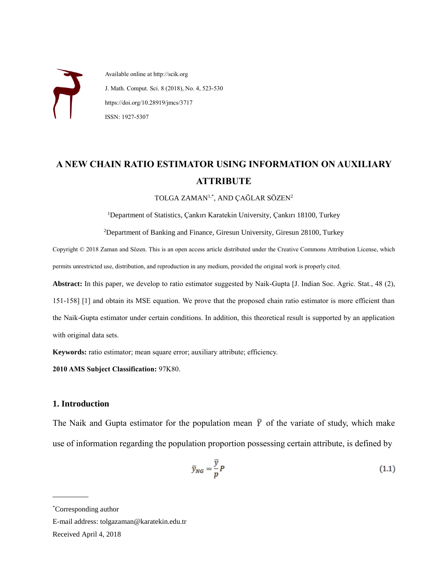Available online at http://scik.org J. Math. Comput. Sci. 8 (2018), No. 4, 523-530 https://doi.org/10.28919/jmcs/3717 ISSN: 1927-5307

# **A NEW CHAIN RATIO ESTIMATOR USING INFORMATION ON AUXILIARY ATTRIBUTE**

TOLGA ZAMAN1,\* , AND ÇAĞLAR SÖZEN<sup>2</sup>

<sup>1</sup>Department of Statistics, Çankırı Karatekin University, Çankırı 18100, Turkey

<sup>2</sup>Department of Banking and Finance, Giresun University, Giresun 28100, Turkey

Copyright © 2018 Zaman and Sözen. This is an open access article distributed under the Creative Commons Attribution License, which permits unrestricted use, distribution, and reproduction in any medium, provided the original work is properly cited.

**Abstract:** In this paper, we develop to ratio estimator suggested by Naik-Gupta [J. Indian Soc. Agric. Stat., 48 (2), 151-158] [1] and obtain its MSE equation. We prove that the proposed chain ratio estimator is more efficient than the Naik-Gupta estimator under certain conditions. In addition, this theoretical result is supported by an application with original data sets.

**Keywords:** ratio estimator; mean square error; auxiliary attribute; efficiency.

**2010 AMS Subject Classification:** 97K80.

# **1. Introduction**

The Naik and Gupta estimator for the population mean  $\bar{Y}$  of the variate of study, which make use of information regarding the population proportion possessing certain attribute, is defined by

$$
\bar{y}_{NG} = \frac{\bar{y}}{p} P \tag{1.1}
$$

 $\overline{a}$ 

E-mail address: tolgazaman@karatekin.edu.tr

Received April 4, 2018

<sup>\*</sup>Corresponding author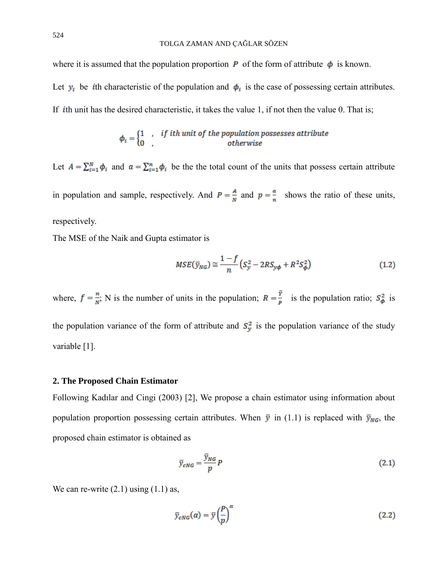where it is assumed that the population proportion  $P$  of the form of attribute  $\phi$  is known.

Let  $y_i$  be *i*th characteristic of the population and  $\phi_i$  is the case of possessing certain attributes.

If *i*th unit has the desired characteristic, it takes the value 1, if not then the value 0. That is;

$$
\phi_i = \begin{cases} 1, & if \text{ } i\text{ }th \text{ } unit \text{ } of \text{ } the \text{ } population \text{ } possess \text{ } est \text{ } attribute} \\ 0, & otherwise \end{cases}
$$

Let  $A = \sum_{i=1}^{N} \phi_i$  and  $a = \sum_{i=1}^{n} \phi_i$  be the total count of the units that possess certain attribute

in population and sample, respectively. And  $P = \frac{A}{N}$  and  $p = \frac{a}{n}$  shows the ratio of these units, respectively.

The MSE of the Naik and Gupta estimator is

$$
MSE(\bar{y}_{NG}) \cong \frac{1-f}{n} \left( S_y^2 - 2RS_{y\phi} + R^2 S_{\phi}^2 \right) \tag{1.2}
$$

where,  $f = \frac{n}{N}$ ; N is the number of units in the population;  $R = \frac{\overline{Y}}{P}$  is the population ratio;  $S^2_{\phi}$  is the population variance of the form of attribute and  $S_y^2$  is the population variance of the study variable [1].

### **2. The Proposed Chain Estimator**

Following Kadılar and Cingi (2003) [2], We propose a chain estimator using information about population proportion possessing certain attributes. When  $\bar{y}$  in (1.1) is replaced with  $\bar{y}_{NG}$ , the proposed chain estimator is obtained as

$$
\bar{y}_{cNG} = \frac{\bar{y}_{NG}}{p}P\tag{2.1}
$$

We can re-write  $(2.1)$  using  $(1.1)$  as,

$$
\bar{y}_{cNG}(a) = \bar{y} \left(\frac{P}{p}\right)^{\alpha} \tag{2.2}
$$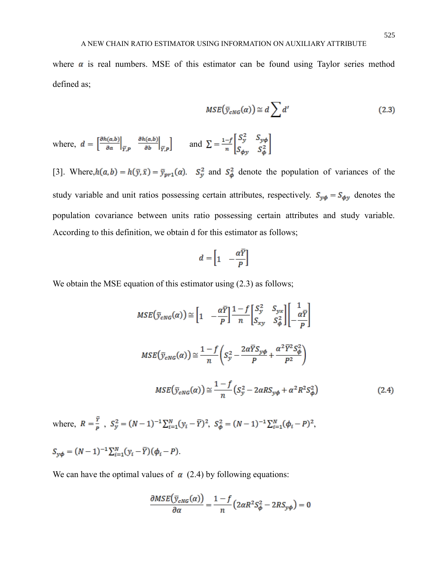where  $\alpha$  is real numbers. MSE of this estimator can be found using Taylor series method defined as;

$$
MSE(\bar{y}_{cNG}(\alpha)) \cong d \sum d'
$$
 (2.3)

where,  $d = \left[\frac{\partial h(a,b)}{\partial a}\Big|_{\overline{Y},P} \frac{\partial h(a,b)}{\partial b}\Big|_{\overline{Y},P}\right]$  and  $\Sigma = \frac{1-f}{n} \begin{bmatrix} S_y^2 & S_{y\phi} \\ S_{\phi y} & S_{\phi}^2 \end{bmatrix}$ 

[3]. Where,  $h(a, b) = h(\bar{y}, \bar{x}) = \bar{y}_{pr1}(a)$ .  $S_y^2$  and  $S_{\phi}^2$  denote the population of variances of the study variable and unit ratios possessing certain attributes, respectively.  $S_{y\phi} = S_{\phi y}$  denotes the population covariance between units ratio possessing certain attributes and study variable. According to this definition, we obtain d for this estimator as follows;

$$
d = \begin{bmatrix} 1 & -\frac{\alpha \overline{Y}}{P} \end{bmatrix}
$$

We obtain the MSE equation of this estimator using  $(2.3)$  as follows;

$$
MSE(\bar{y}_{cNG}(\alpha)) \approx \left[1 - \frac{\alpha \bar{Y}}{P}\right] \frac{1 - f}{n} \left[S_y^2 \quad S_{yx} \atop S_{xy} \quad S_{\phi}^2\right] \left[-\frac{1}{\alpha \bar{Y}}\right]
$$
  

$$
MSE(\bar{y}_{cNG}(\alpha)) \approx \frac{1 - f}{n} \left(S_y^2 - \frac{2\alpha \bar{Y}S_{y\phi}}{P} + \frac{\alpha^2 \bar{Y}^2 S_{\phi}^2}{P^2}\right)
$$
  

$$
MSE(\bar{y}_{cNG}(\alpha)) \approx \frac{1 - f}{n} \left(S_y^2 - 2\alpha RS_{y\phi} + \alpha^2 R^2 S_{\phi}^2\right)
$$
(2.4)

where,  $R = \frac{\bar{Y}}{R}$ ,  $S_y^2 = (N-1)^{-1} \sum_{i=1}^{N} (y_i - \bar{Y})^2$ ,  $S_{\phi}^2 = (N-1)^{-1} \sum_{i=1}^{N} (\phi_i - P)^2$ ,  $S_{y\phi} = (N-1)^{-1} \sum_{i=1}^{N} (y_i - \overline{Y}) (\phi_i - P).$ 

We can have the optimal values of  $\alpha$  (2.4) by following equations:

$$
\frac{\partial MSE(\bar{y}_{cNG}(\alpha))}{\partial \alpha} = \frac{1 - f}{n} \left( 2\alpha R^2 S_{\phi}^2 - 2RS_{y\phi} \right) = 0
$$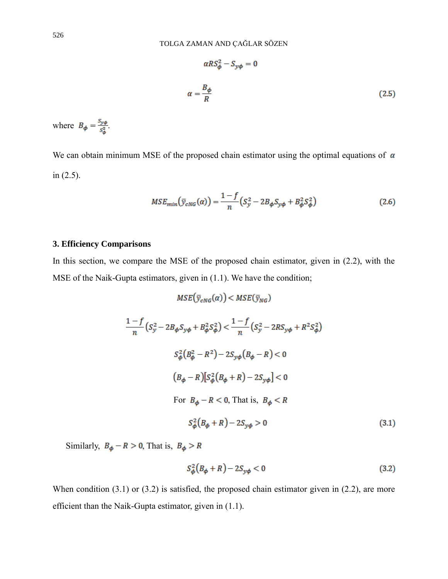$$
\alpha RS_{\phi}^2 - S_{y\phi} = 0
$$
  

$$
\alpha = \frac{B_{\phi}}{R}
$$
 (2.5)

where  $B_{\phi} = \frac{S_{y\phi}}{S_{\phi}^2}$ .

We can obtain minimum MSE of the proposed chain estimator using the optimal equations of  $\alpha$ in (2.5).

$$
MSE_{min}(\bar{y}_{cNG}(\alpha)) = \frac{1-f}{n}(S_y^2 - 2B_{\phi}S_{y\phi} + B_{\phi}^2 S_{\phi}^2)
$$
 (2.6)

# **3. Efficiency Comparisons**

In this section, we compare the MSE of the proposed chain estimator, given in (2.2), with the MSE of the Naik-Gupta estimators, given in (1.1). We have the condition;

$$
MSE(\bar{y}_{cNG}(\alpha)) < MSE(\bar{y}_{NG})
$$
  
\n
$$
\frac{1-f}{n}(S_y^2 - 2B_\phi S_{y\phi} + B_\phi^2 S_\phi^2) < \frac{1-f}{n}(S_y^2 - 2RS_{y\phi} + R^2 S_\phi^2)
$$
  
\n
$$
S_\phi^2(B_\phi^2 - R^2) - 2S_{y\phi}(B_\phi - R) < 0
$$
  
\n
$$
(B_\phi - R)[S_\phi^2(B_\phi + R) - 2S_{y\phi}] < 0
$$
  
\nFor  $B_\phi - R < 0$ , That is,  $B_\phi < R$   
\n
$$
S_\phi^2(B_\phi + R) - 2S_{y\phi} > 0
$$
\n(3.1)

Similarly,  $B_{\phi} - R > 0$ , That is,  $B_{\phi} > R$ 

$$
S_{\phi}^{2}(B_{\phi} + R) - 2S_{y\phi} < 0 \tag{3.2}
$$

When condition (3.1) or (3.2) is satisfied, the proposed chain estimator given in (2.2), are more efficient than the Naik-Gupta estimator, given in (1.1).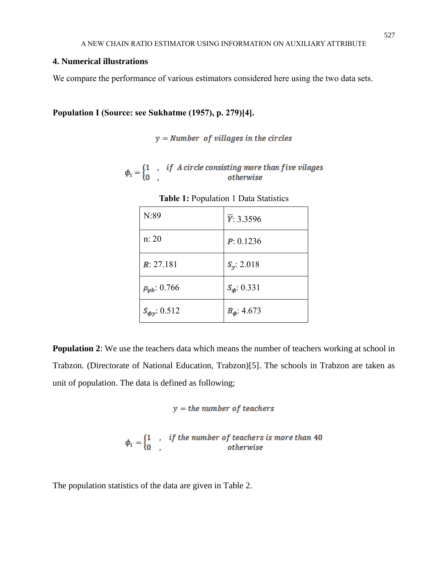# **4. Numerical illustrations**

We compare the performance of various estimators considered here using the two data sets.

**Population I (Source: see Sukhatme (1957), p. 279)[4].**

 $y =$  Number of villages in the circles

 $\phi_i = \begin{cases} 1 & , & if \ A \ circle \ consisting \ more \ than \ five \ values \\ 0 & , & otherwise \end{cases}$ 

| N:89                 | $\overline{Y}$ : 3.3596 |
|----------------------|-------------------------|
| n: 20                | P: 0.1236               |
| R: 27.181            | $S_v$ : 2.018           |
| $\rho_{pb}$ : 0.766  | $S_{\phi}$ : 0.331      |
| $S_{\phi y}$ : 0.512 | $B_{\phi}$ : 4.673      |

**Table 1:** Population 1 Data Statistics

**Population 2:** We use the teachers data which means the number of teachers working at school in Trabzon. (Directorate of National Education, Trabzon)[5]. The schools in Trabzon are taken as unit of population. The data is defined as following;

$$
y = the number of teachers
$$

 $\phi_i = \begin{cases} 1 & , & if the number of teachers is more than 40 \\ 0 & , & otherwise \end{cases}$ 

The population statistics of the data are given in Table 2.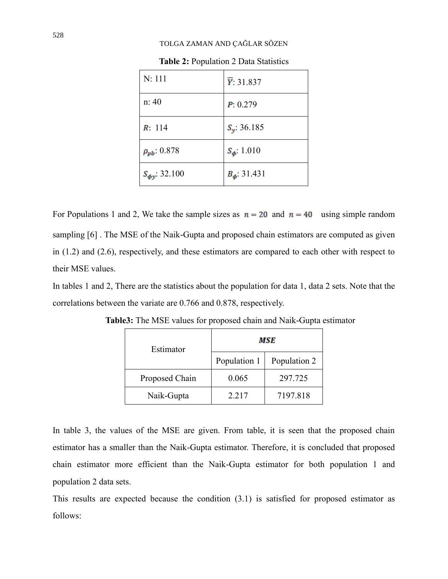#### TOLGA ZAMAN AND ÇAĞLAR SÖZEN

| N: 111                | $\overline{Y}$ : 31.837 |  |
|-----------------------|-------------------------|--|
| n: 40                 | P: 0.279                |  |
| R: 114                | $S_v$ : 36.185          |  |
| $\rho_{pb}$ : 0.878   | $S_{\phi}$ : 1.010      |  |
| $S_{\phi y}$ : 32.100 | $B_{\phi}$ : 31.431     |  |

**Table 2:** Population 2 Data Statistics

For Populations 1 and 2, We take the sample sizes as  $n = 20$  and  $n = 40$  using simple random sampling [6] . The MSE of the Naik-Gupta and proposed chain estimators are computed as given in (1.2) and (2.6), respectively, and these estimators are compared to each other with respect to their MSE values.

In tables 1 and 2, There are the statistics about the population for data 1, data 2 sets. Note that the correlations between the variate are 0.766 and 0.878, respectively.

| Estimator      | MSE          |              |
|----------------|--------------|--------------|
|                | Population 1 | Population 2 |
| Proposed Chain | 0.065        | 297.725      |
| Naik-Gupta     | 2.217        | 7197.818     |

**Table3:** The MSE values for proposed chain and Naik-Gupta estimator

In table 3, the values of the MSE are given. From table, it is seen that the proposed chain estimator has a smaller than the Naik-Gupta estimator. Therefore, it is concluded that proposed chain estimator more efficient than the Naik-Gupta estimator for both population 1 and population 2 data sets.

This results are expected because the condition (3.1) is satisfied for proposed estimator as follows: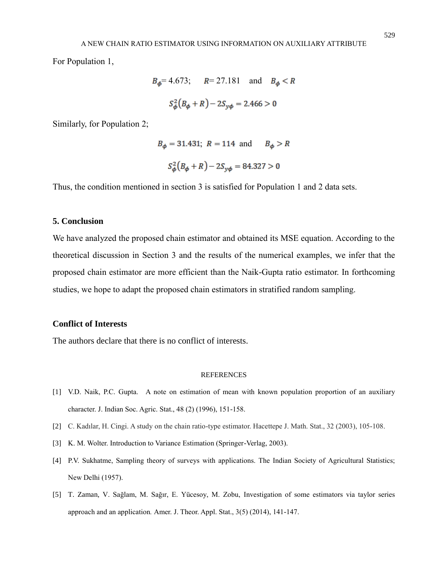For Population 1,

$$
B_{\phi} = 4.673;
$$
  $R = 27.181$  and  $B_{\phi} < R$   
 $S_{\phi}^2 (B_{\phi} + R) - 2S_{y\phi} = 2.466 > 0$ 

Similarly, for Population 2;

$$
B_{\phi} = 31.431; R = 114 \text{ and } B_{\phi} > R
$$
  
 $S_{\phi}^{2}(B_{\phi} + R) - 2S_{y\phi} = 84.327 > 0$ 

Thus, the condition mentioned in section 3 is satisfied for Population 1 and 2 data sets.

# **5. Conclusion**

We have analyzed the proposed chain estimator and obtained its MSE equation. According to the theoretical discussion in Section 3 and the results of the numerical examples, we infer that the proposed chain estimator are more efficient than the Naik-Gupta ratio estimator. In forthcoming studies, we hope to adapt the proposed chain estimators in stratified random sampling.

# **Conflict of Interests**

The authors declare that there is no conflict of interests.

#### REFERENCES

- [1] V.D. Naik, P.C. Gupta. A note on estimation of mean with known population proportion of an auxiliary character. J. Indian Soc. Agric. Stat., 48 (2) (1996), 151-158.
- [2] C. Kadılar, H. Cingi. A study on the chain ratio-type estimator. Hacettepe J. Math. Stat., 32 (2003), 105-108.
- [3] K. M. Wolter. Introduction to Variance Estimation (Springer-Verlag, 2003).
- [4] P.V. Sukhatme, Sampling theory of surveys with applications. The Indian Society of Agricultural Statistics; New Delhi (1957).
- [5] T. Zaman, V. Sağlam, M. Sağır, E. Yücesoy, M. Zobu, Investigation of some estimators via taylor series approach and an application*.* Amer. J. Theor. Appl. Stat., 3(5) (2014), 141-147.